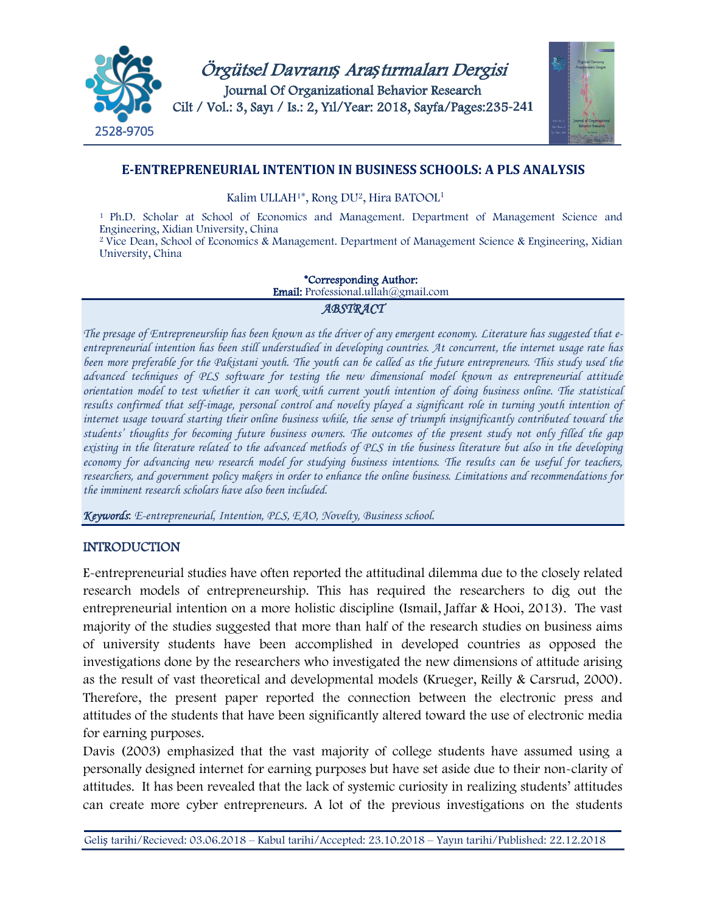



## **E-ENTREPRENEURIAL INTENTION IN BUSINESS SCHOOLS: A PLS ANALYSIS**

Kalim ULLAH1\*, Rong DU2, Hira BATOOL1

1 Ph.D. Scholar at School of Economics and Management. Department of Management Science and Engineering, Xidian University, China

<sup>2</sup> Vice Dean, School of Economics & Management. Department of Management Science & Engineering, Xidian University, China

#### \*Corresponding Author:

Email: Professional.ullah@gmail.com

#### *ABSTRACT*

*The presage of Entrepreneurship has been known as the driver of any emergent economy. Literature has suggested that eentrepreneurial intention has been still understudied in developing countries. At concurrent, the internet usage rate has*  been more preferable for the Pakistani youth. The youth can be called as the future entrepreneurs. This study used the *advanced techniques of PLS software for testing the new dimensional model known as entrepreneurial attitude orientation model to test whether it can work with current youth intention of doing business online. The statistical*  results confirmed that self-image, personal control and novelty played a significant role in turning youth intention of *internet usage toward starting their online business while, the sense of triumph insignificantly contributed toward the students' thoughts for becoming future business owners. The outcomes of the present study not only filled the gap existing in the literature related to the advanced methods of PLS in the business literature but also in the developing economy for advancing new research model for studying business intentions. The results can be useful for teachers, researchers, and government policy makers in order to enhance the online business. Limitations and recommendations for the imminent research scholars have also been included.*

*Keywords*: *E-entrepreneurial, Intention, PLS, EAO, Novelty, Business school.*

#### INTRODUCTION

E-entrepreneurial studies have often reported the attitudinal dilemma due to the closely related research models of entrepreneurship. This has required the researchers to dig out the entrepreneurial intention on a more holistic discipline (Ismail, Jaffar & Hooi, 2013). The vast majority of the studies suggested that more than half of the research studies on business aims of university students have been accomplished in developed countries as opposed the investigations done by the researchers who investigated the new dimensions of attitude arising as the result of vast theoretical and developmental models (Krueger, Reilly & Carsrud, 2000). Therefore, the present paper reported the connection between the electronic press and attitudes of the students that have been significantly altered toward the use of electronic media for earning purposes.

Davis (2003) emphasized that the vast majority of college students have assumed using a personally designed internet for earning purposes but have set aside due to their non-clarity of attitudes. It has been revealed that the lack of systemic curiosity in realizing students' attitudes can create more cyber entrepreneurs. A lot of the previous investigations on the students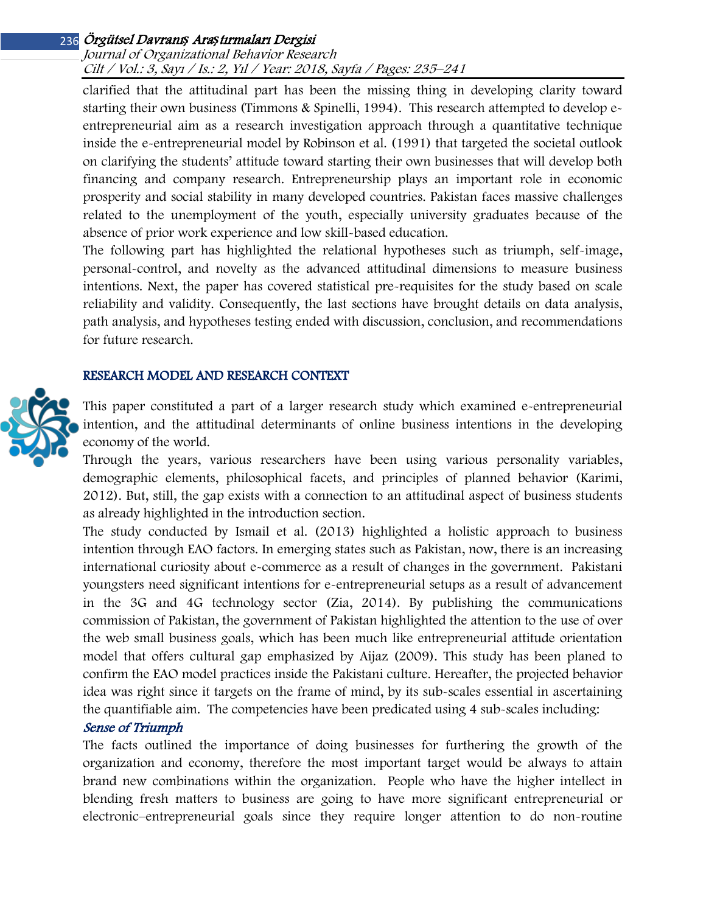## Örgütsel Davranı*ş* Ara*ş*tırmaları Dergisi 236

Journal of Organizational Behavior Research Cilt / Vol.: 3, Sayı / Is.: 2, Yıl / Year: 2018, Sayfa / Pages: 235–241

clarified that the attitudinal part has been the missing thing in developing clarity toward starting their own business (Timmons & Spinelli, 1994). This research attempted to develop eentrepreneurial aim as a research investigation approach through a quantitative technique inside the e-entrepreneurial model by Robinson et al. (1991) that targeted the societal outlook on clarifying the students' attitude toward starting their own businesses that will develop both financing and company research. Entrepreneurship plays an important role in economic prosperity and social stability in many developed countries. Pakistan faces massive challenges related to the unemployment of the youth, especially university graduates because of the absence of prior work experience and low skill-based education.

The following part has highlighted the relational hypotheses such as triumph, self-image, personal-control, and novelty as the advanced attitudinal dimensions to measure business intentions. Next, the paper has covered statistical pre-requisites for the study based on scale reliability and validity. Consequently, the last sections have brought details on data analysis, path analysis, and hypotheses testing ended with discussion, conclusion, and recommendations for future research.

#### RESEARCH MODEL AND RESEARCH CONTEXT



This paper constituted a part of a larger research study which examined e-entrepreneurial intention, and the attitudinal determinants of online business intentions in the developing economy of the world.

Through the years, various researchers have been using various personality variables, demographic elements, philosophical facets, and principles of planned behavior (Karimi, 2012). But, still, the gap exists with a connection to an attitudinal aspect of business students as already highlighted in the introduction section.

The study conducted by Ismail et al. (2013) highlighted a holistic approach to business intention through EAO factors. In emerging states such as Pakistan, now, there is an increasing international curiosity about e-commerce as a result of changes in the government. Pakistani youngsters need significant intentions for e-entrepreneurial setups as a result of advancement in the 3G and 4G technology sector (Zia, 2014). By publishing the communications commission of Pakistan, the government of Pakistan highlighted the attention to the use of over the web small business goals, which has been much like entrepreneurial attitude orientation model that offers cultural gap emphasized by Aijaz (2009). This study has been planed to confirm the EAO model practices inside the Pakistani culture. Hereafter, the projected behavior idea was right since it targets on the frame of mind, by its sub-scales essential in ascertaining the quantifiable aim. The competencies have been predicated using 4 sub-scales including:

### Sense of Triumph

The facts outlined the importance of doing businesses for furthering the growth of the organization and economy, therefore the most important target would be always to attain brand new combinations within the organization. People who have the higher intellect in blending fresh matters to business are going to have more significant entrepreneurial or electronic–entrepreneurial goals since they require longer attention to do non-routine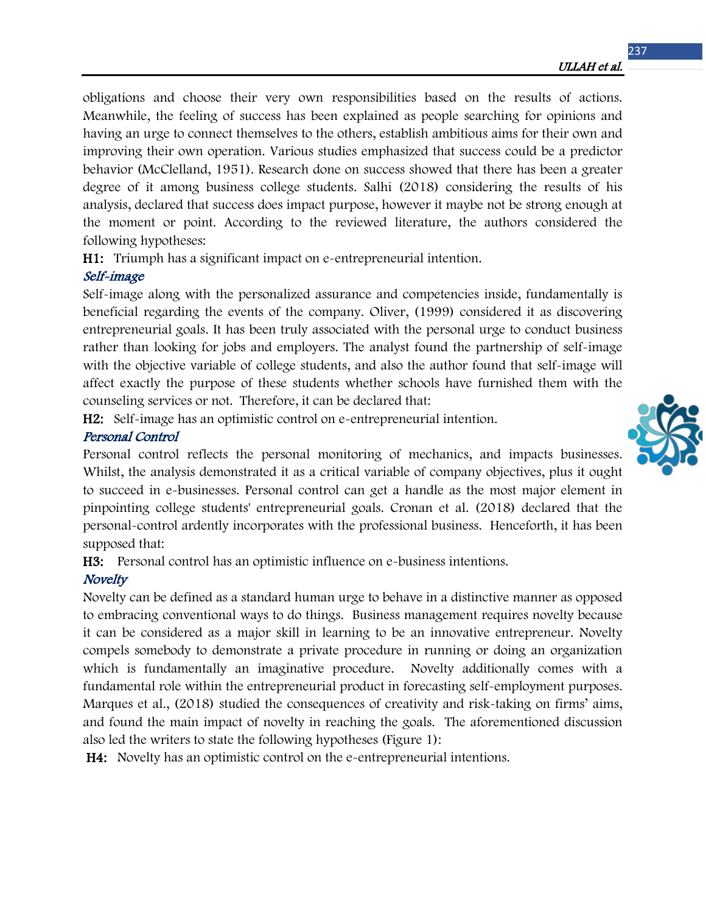obligations and choose their very own responsibilities based on the results of actions. Meanwhile, the feeling of success has been explained as people searching for opinions and having an urge to connect themselves to the others, establish ambitious aims for their own and improving their own operation. Various studies emphasized that success could be a predictor behavior (McClelland, 1951). Research done on success showed that there has been a greater degree of it among business college students. Salhi (2018) considering the results of his analysis, declared that success does impact purpose, however it maybe not be strong enough at the moment or point. According to the reviewed literature, the authors considered the following hypotheses:

H1: Triumph has a significant impact on e-entrepreneurial intention.

## Self-image

Self-image along with the personalized assurance and competencies inside, fundamentally is beneficial regarding the events of the company. Oliver, (1999) considered it as discovering entrepreneurial goals. It has been truly associated with the personal urge to conduct business rather than looking for jobs and employers. The analyst found the partnership of self-image with the objective variable of college students, and also the author found that self-image will affect exactly the purpose of these students whether schools have furnished them with the counseling services or not. Therefore, it can be declared that:

H2: Self-image has an optimistic control on e-entrepreneurial intention.

# Personal Control

Personal control reflects the personal monitoring of mechanics, and impacts businesses. Whilst, the analysis demonstrated it as a critical variable of company objectives, plus it ought to succeed in e-businesses. Personal control can get a handle as the most major element in pinpointing college students' entrepreneurial goals. Cronan et al. (2018) declared that the personal-control ardently incorporates with the professional business. Henceforth, it has been supposed that:

H3: Personal control has an optimistic influence on e-business intentions.

# **Novelty**

Novelty can be defined as a standard human urge to behave in a distinctive manner as opposed to embracing conventional ways to do things. Business management requires novelty because it can be considered as a major skill in learning to be an innovative entrepreneur. Novelty compels somebody to demonstrate a private procedure in running or doing an organization which is fundamentally an imaginative procedure. Novelty additionally comes with a fundamental role within the entrepreneurial product in forecasting self-employment purposes. Marques et al., (2018) studied the consequences of creativity and risk-taking on firms' aims, and found the main impact of novelty in reaching the goals. The aforementioned discussion also led the writers to state the following hypotheses (Figure 1):

H4: Novelty has an optimistic control on the e-entrepreneurial intentions.

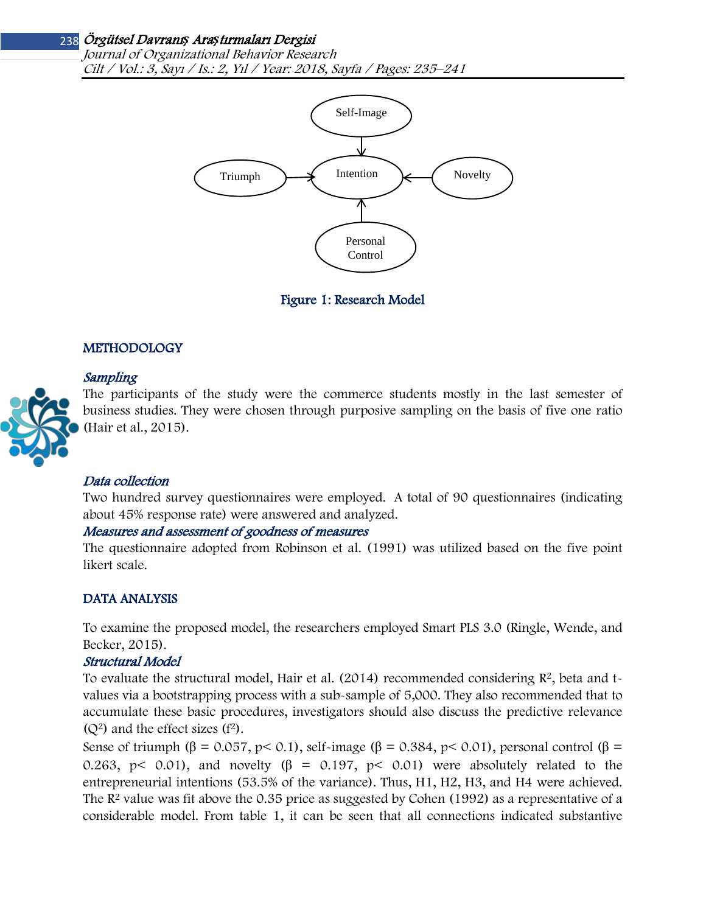# Örgütsel Davranı*ş* Ara*ş*tırmaları Dergisi 238

Journal of Organizational Behavior Research Cilt / Vol.: 3, Sayı / Is.: 2, Yıl / Year: 2018, Sayfa / Pages: 235–241



Figure 1: Research Model

## **METHODOLOGY**

## Sampling



The participants of the study were the commerce students mostly in the last semester of business studies. They were chosen through purposive sampling on the basis of five one ratio (Hair et al., 2015).

#### Data collection

Two hundred survey questionnaires were employed. A total of 90 questionnaires (indicating about 45% response rate) were answered and analyzed.

#### Measures and assessment of goodness of measures

The questionnaire adopted from Robinson et al. (1991) was utilized based on the five point likert scale.

#### DATA ANALYSIS

To examine the proposed model, the researchers employed Smart PLS 3.0 (Ringle, Wende, and Becker, 2015).

#### Structural Model

To evaluate the structural model, Hair et al. (2014) recommended considering  $\mathbb{R}^2$ , beta and tvalues via a bootstrapping process with a sub-sample of 5,000. They also recommended that to accumulate these basic procedures, investigators should also discuss the predictive relevance  $(Q<sup>2</sup>)$  and the effect sizes  $(f<sup>2</sup>)$ .

Sense of triumph (β = 0.057, p < 0.1), self-image (β = 0.384, p < 0.01), personal control (β = 0.263, p< 0.01), and novelty ( $\beta$  = 0.197, p< 0.01) were absolutely related to the entrepreneurial intentions (53.5% of the variance). Thus, H1, H2, H3, and H4 were achieved. The  $\mathbb{R}^2$  value was fit above the 0.35 price as suggested by Cohen (1992) as a representative of a considerable model. From table 1, it can be seen that all connections indicated substantive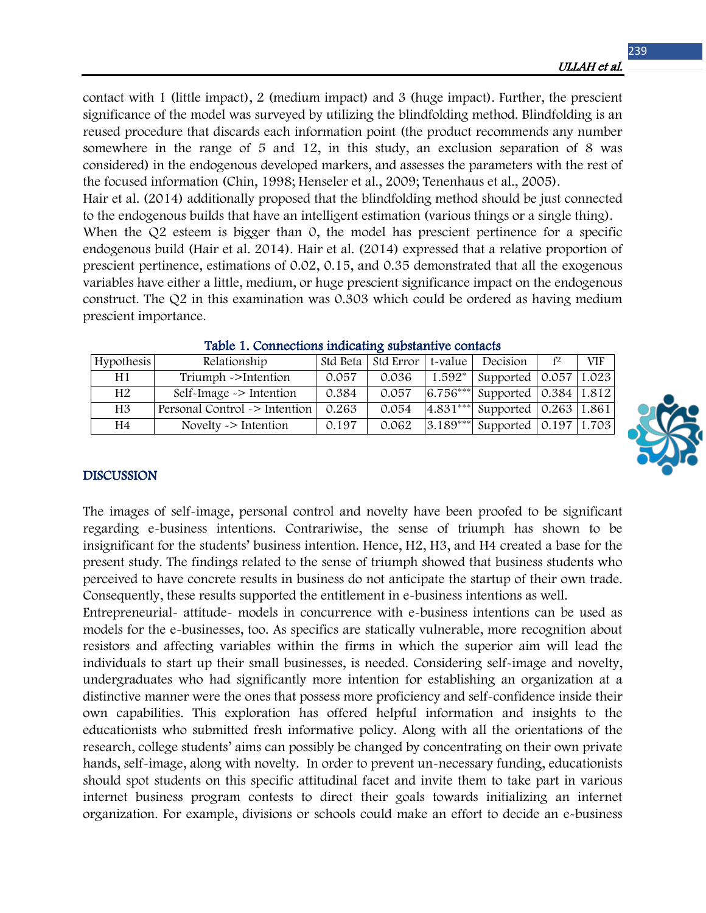contact with 1 (little impact), 2 (medium impact) and 3 (huge impact). Further, the prescient significance of the model was surveyed by utilizing the blindfolding method. Blindfolding is an reused procedure that discards each information point (the product recommends any number somewhere in the range of 5 and 12, in this study, an exclusion separation of 8 was considered) in the endogenous developed markers, and assesses the parameters with the rest of the focused information (Chin, 1998; Henseler et al., 2009; Tenenhaus et al., 2005).

Hair et al. (2014) additionally proposed that the blindfolding method should be just connected to the endogenous builds that have an intelligent estimation (various things or a single thing).

When the Q2 esteem is bigger than 0, the model has prescient pertinence for a specific endogenous build (Hair et al. 2014). Hair et al. (2014) expressed that a relative proportion of prescient pertinence, estimations of 0.02, 0.15, and 0.35 demonstrated that all the exogenous variables have either a little, medium, or huge prescient significance impact on the endogenous construct. The Q2 in this examination was 0.303 which could be ordered as having medium prescient importance.

| <b>Hypothesis</b> | Relationship                  |       | Std Beta Std Error | t-value | Decision                                         | f2 | <b>VIF</b> |
|-------------------|-------------------------------|-------|--------------------|---------|--------------------------------------------------|----|------------|
| H1                | Triumph ->Intention           | 0.057 | 0.036              |         | 1.592*   Supported $\vert 0.057 \vert 1.023$     |    |            |
| H <sub>2</sub>    | Self-Image $\sim$ Intention   | 0.384 | 0.057              |         | $\sqrt{6.756***}$ Supported $\sqrt{0.384}$ 1.812 |    |            |
| H3                | Personal Control -> Intention | 0.263 | 0.054              |         | $\sqrt{4.831***}$ Supported $\sqrt{0.263}$ 1.861 |    |            |
| H4                | Novelty $\geq$ Intention      | 0.197 | 0.062              |         | $3.189***$ Supported 0.197 1.703                 |    |            |

| Table 1. Connections indicating substantive contacts |
|------------------------------------------------------|
|------------------------------------------------------|

## DISCUSSION

The images of self-image, personal control and novelty have been proofed to be significant regarding e-business intentions. Contrariwise, the sense of triumph has shown to be insignificant for the students' business intention. Hence, H2, H3, and H4 created a base for the present study. The findings related to the sense of triumph showed that business students who perceived to have concrete results in business do not anticipate the startup of their own trade. Consequently, these results supported the entitlement in e-business intentions as well.

Entrepreneurial- attitude- models in concurrence with e-business intentions can be used as models for the e-businesses, too. As specifics are statically vulnerable, more recognition about resistors and affecting variables within the firms in which the superior aim will lead the individuals to start up their small businesses, is needed. Considering self-image and novelty, undergraduates who had significantly more intention for establishing an organization at a distinctive manner were the ones that possess more proficiency and self-confidence inside their own capabilities. This exploration has offered helpful information and insights to the educationists who submitted fresh informative policy. Along with all the orientations of the research, college students' aims can possibly be changed by concentrating on their own private hands, self-image, along with novelty. In order to prevent un-necessary funding, educationists should spot students on this specific attitudinal facet and invite them to take part in various internet business program contests to direct their goals towards initializing an internet organization. For example, divisions or schools could make an effort to decide an e-business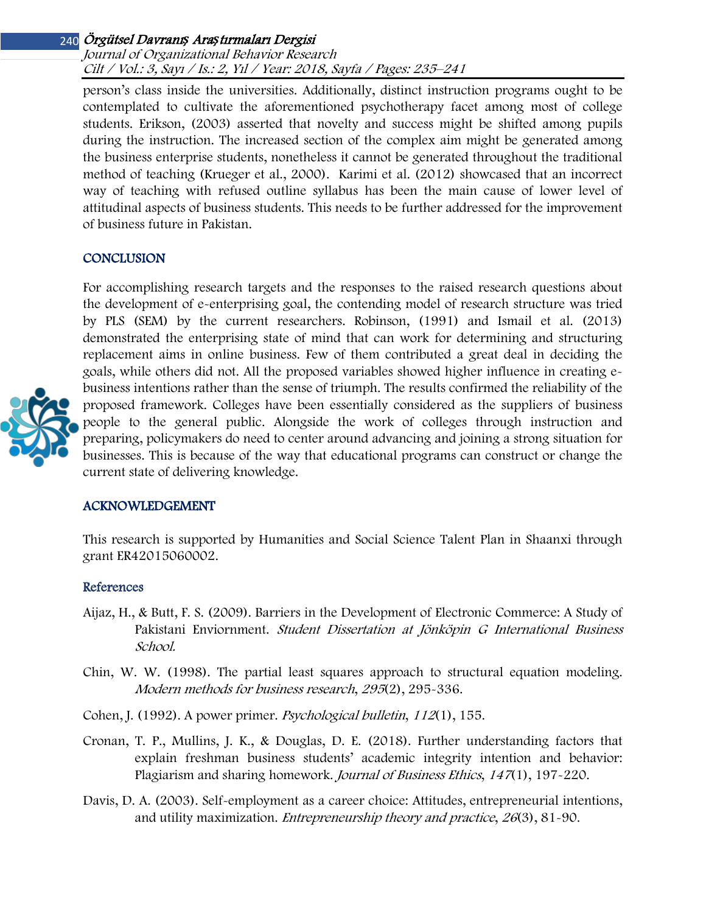# Örgütsel Davranı*ş* Ara*ş*tırmaları Dergisi 240

Journal of Organizational Behavior Research Cilt / Vol.: 3, Sayı / Is.: 2, Yıl / Year: 2018, Sayfa / Pages: 235–241

person's class inside the universities. Additionally, distinct instruction programs ought to be contemplated to cultivate the aforementioned psychotherapy facet among most of college students. Erikson, (2003) asserted that novelty and success might be shifted among pupils during the instruction. The increased section of the complex aim might be generated among the business enterprise students, nonetheless it cannot be generated throughout the traditional method of teaching (Krueger et al., 2000). Karimi et al. (2012) showcased that an incorrect way of teaching with refused outline syllabus has been the main cause of lower level of attitudinal aspects of business students. This needs to be further addressed for the improvement of business future in Pakistan.

#### **CONCLUSION**

For accomplishing research targets and the responses to the raised research questions about the development of e-enterprising goal, the contending model of research structure was tried by PLS (SEM) by the current researchers. Robinson, (1991) and Ismail et al. (2013) demonstrated the enterprising state of mind that can work for determining and structuring replacement aims in online business. Few of them contributed a great deal in deciding the goals, while others did not. All the proposed variables showed higher influence in creating ebusiness intentions rather than the sense of triumph. The results confirmed the reliability of the proposed framework. Colleges have been essentially considered as the suppliers of business people to the general public. Alongside the work of colleges through instruction and preparing, policymakers do need to center around advancing and joining a strong situation for businesses. This is because of the way that educational programs can construct or change the current state of delivering knowledge.

#### ACKNOWLEDGEMENT

This research is supported by Humanities and Social Science Talent Plan in Shaanxi through grant ER42015060002.

#### References

- Aijaz, H., & Butt, F. S. (2009). Barriers in the Development of Electronic Commerce: A Study of Pakistani Enviornment. Student Dissertation at Jönköpin G International Business School.
- Chin, W. W. (1998). The partial least squares approach to structural equation modeling. Modern methods for business research, 295(2), 295-336.
- Cohen, J. (1992). A power primer. Psychological bulletin, 112(1), 155.
- Cronan, T. P., Mullins, J. K., & Douglas, D. E. (2018). Further understanding factors that explain freshman business students' academic integrity intention and behavior: Plagiarism and sharing homework. Journal of Business Ethics, <sup>147</sup>(1), 197-220.
- Davis, D. A. (2003). Self-employment as a career choice: Attitudes, entrepreneurial intentions, and utility maximization. Entrepreneurship theory and practice, <sup>26</sup>(3), 81-90.